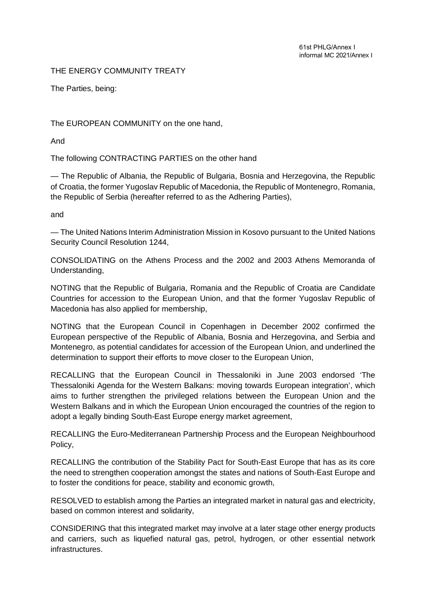## THE ENERGY COMMUNITY TREATY

The Parties, being:

The EUROPEAN COMMUNITY on the one hand,

And

The following CONTRACTING PARTIES on the other hand

— The Republic of Albania, the Republic of Bulgaria, Bosnia and Herzegovina, the Republic of Croatia, the former Yugoslav Republic of Macedonia, the Republic of Montenegro, Romania, the Republic of Serbia (hereafter referred to as the Adhering Parties),

and

— The United Nations Interim Administration Mission in Kosovo pursuant to the United Nations Security Council Resolution 1244,

CONSOLIDATING on the Athens Process and the 2002 and 2003 Athens Memoranda of Understanding,

NOTING that the Republic of Bulgaria, Romania and the Republic of Croatia are Candidate Countries for accession to the European Union, and that the former Yugoslav Republic of Macedonia has also applied for membership,

NOTING that the European Council in Copenhagen in December 2002 confirmed the European perspective of the Republic of Albania, Bosnia and Herzegovina, and Serbia and Montenegro, as potential candidates for accession of the European Union, and underlined the determination to support their efforts to move closer to the European Union,

RECALLING that the European Council in Thessaloniki in June 2003 endorsed 'The Thessaloniki Agenda for the Western Balkans: moving towards European integration', which aims to further strengthen the privileged relations between the European Union and the Western Balkans and in which the European Union encouraged the countries of the region to adopt a legally binding South-East Europe energy market agreement,

RECALLING the Euro-Mediterranean Partnership Process and the European Neighbourhood Policy,

RECALLING the contribution of the Stability Pact for South-East Europe that has as its core the need to strengthen cooperation amongst the states and nations of South-East Europe and to foster the conditions for peace, stability and economic growth,

RESOLVED to establish among the Parties an integrated market in natural gas and electricity, based on common interest and solidarity,

CONSIDERING that this integrated market may involve at a later stage other energy products and carriers, such as liquefied natural gas, petrol, hydrogen, or other essential network infrastructures.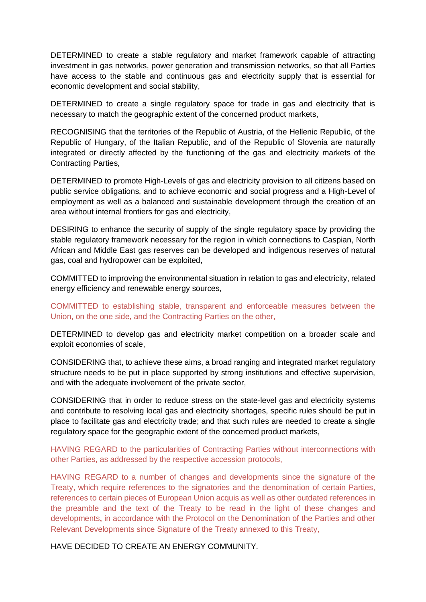DETERMINED to create a stable regulatory and market framework capable of attracting investment in gas networks, power generation and transmission networks, so that all Parties have access to the stable and continuous gas and electricity supply that is essential for economic development and social stability,

DETERMINED to create a single regulatory space for trade in gas and electricity that is necessary to match the geographic extent of the concerned product markets,

RECOGNISING that the territories of the Republic of Austria, of the Hellenic Republic, of the Republic of Hungary, of the Italian Republic, and of the Republic of Slovenia are naturally integrated or directly affected by the functioning of the gas and electricity markets of the Contracting Parties,

DETERMINED to promote High-Levels of gas and electricity provision to all citizens based on public service obligations, and to achieve economic and social progress and a High-Level of employment as well as a balanced and sustainable development through the creation of an area without internal frontiers for gas and electricity,

DESIRING to enhance the security of supply of the single regulatory space by providing the stable regulatory framework necessary for the region in which connections to Caspian, North African and Middle East gas reserves can be developed and indigenous reserves of natural gas, coal and hydropower can be exploited,

COMMITTED to improving the environmental situation in relation to gas and electricity, related energy efficiency and renewable energy sources,

COMMITTED to establishing stable, transparent and enforceable measures between the Union, on the one side, and the Contracting Parties on the other,

DETERMINED to develop gas and electricity market competition on a broader scale and exploit economies of scale,

CONSIDERING that, to achieve these aims, a broad ranging and integrated market regulatory structure needs to be put in place supported by strong institutions and effective supervision, and with the adequate involvement of the private sector,

CONSIDERING that in order to reduce stress on the state-level gas and electricity systems and contribute to resolving local gas and electricity shortages, specific rules should be put in place to facilitate gas and electricity trade; and that such rules are needed to create a single regulatory space for the geographic extent of the concerned product markets,

HAVING REGARD to the particularities of Contracting Parties without interconnections with other Parties, as addressed by the respective accession protocols,

HAVING REGARD to a number of changes and developments since the signature of the Treaty, which require references to the signatories and the denomination of certain Parties, references to certain pieces of European Union acquis as well as other outdated references in the preamble and the text of the Treaty to be read in the light of these changes and developments**,** in accordance with the Protocol on the Denomination of the Parties and other Relevant Developments since Signature of the Treaty annexed to this Treaty,

HAVE DECIDED TO CREATE AN ENERGY COMMUNITY.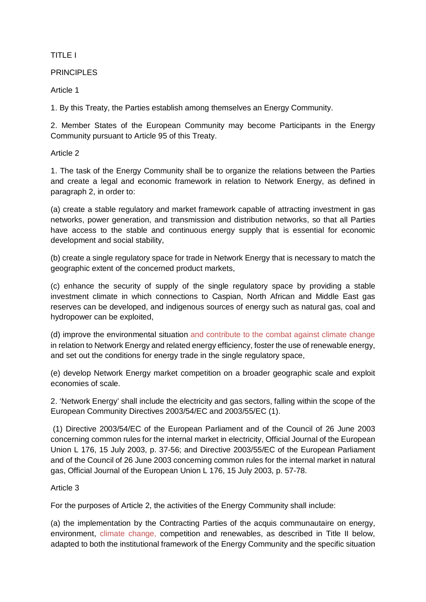# TITLE I

## PRINCIPLES

Article 1

1. By this Treaty, the Parties establish among themselves an Energy Community.

2. Member States of the European Community may become Participants in the Energy Community pursuant to Article 95 of this Treaty.

Article 2

1. The task of the Energy Community shall be to organize the relations between the Parties and create a legal and economic framework in relation to Network Energy, as defined in paragraph 2, in order to:

(a) create a stable regulatory and market framework capable of attracting investment in gas networks, power generation, and transmission and distribution networks, so that all Parties have access to the stable and continuous energy supply that is essential for economic development and social stability,

(b) create a single regulatory space for trade in Network Energy that is necessary to match the geographic extent of the concerned product markets,

(c) enhance the security of supply of the single regulatory space by providing a stable investment climate in which connections to Caspian, North African and Middle East gas reserves can be developed, and indigenous sources of energy such as natural gas, coal and hydropower can be exploited,

(d) improve the environmental situation and contribute to the combat against climate change in relation to Network Energy and related energy efficiency, foster the use of renewable energy, and set out the conditions for energy trade in the single regulatory space,

(e) develop Network Energy market competition on a broader geographic scale and exploit economies of scale.

2. 'Network Energy' shall include the electricity and gas sectors, falling within the scope of the European Community Directives 2003/54/EC and 2003/55/EC (1).

(1) Directive 2003/54/EC of the European Parliament and of the Council of 26 June 2003 concerning common rules for the internal market in electricity, Official Journal of the European Union L 176, 15 July 2003, p. 37-56; and Directive 2003/55/EC of the European Parliament and of the Council of 26 June 2003 concerning common rules for the internal market in natural gas, Official Journal of the European Union L 176, 15 July 2003, p. 57-78.

# Article 3

For the purposes of Article 2, the activities of the Energy Community shall include:

(a) the implementation by the Contracting Parties of the acquis communautaire on energy, environment, climate change, competition and renewables, as described in Title II below, adapted to both the institutional framework of the Energy Community and the specific situation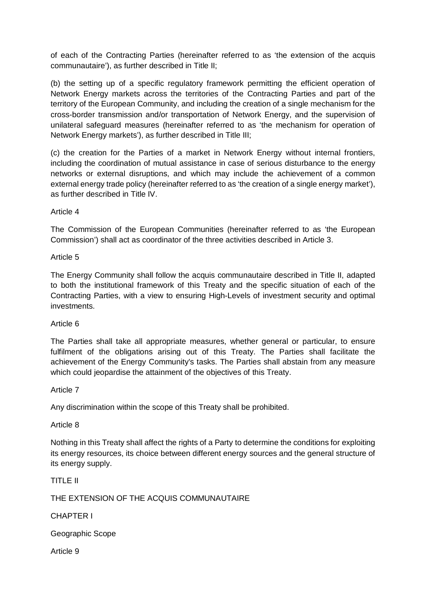of each of the Contracting Parties (hereinafter referred to as 'the extension of the acquis communautaire'), as further described in Title II;

(b) the setting up of a specific regulatory framework permitting the efficient operation of Network Energy markets across the territories of the Contracting Parties and part of the territory of the European Community, and including the creation of a single mechanism for the cross-border transmission and/or transportation of Network Energy, and the supervision of unilateral safeguard measures (hereinafter referred to as 'the mechanism for operation of Network Energy markets'), as further described in Title III;

(c) the creation for the Parties of a market in Network Energy without internal frontiers, including the coordination of mutual assistance in case of serious disturbance to the energy networks or external disruptions, and which may include the achievement of a common external energy trade policy (hereinafter referred to as 'the creation of a single energy market'), as further described in Title IV.

Article 4

The Commission of the European Communities (hereinafter referred to as 'the European Commission') shall act as coordinator of the three activities described in Article 3.

Article 5

The Energy Community shall follow the acquis communautaire described in Title II, adapted to both the institutional framework of this Treaty and the specific situation of each of the Contracting Parties, with a view to ensuring High-Levels of investment security and optimal investments.

Article 6

The Parties shall take all appropriate measures, whether general or particular, to ensure fulfilment of the obligations arising out of this Treaty. The Parties shall facilitate the achievement of the Energy Community's tasks. The Parties shall abstain from any measure which could jeopardise the attainment of the objectives of this Treaty.

Article 7

Any discrimination within the scope of this Treaty shall be prohibited.

Article 8

Nothing in this Treaty shall affect the rights of a Party to determine the conditions for exploiting its energy resources, its choice between different energy sources and the general structure of its energy supply.

TITLE II

THE EXTENSION OF THE ACQUIS COMMUNAUTAIRE

CHAPTER I

Geographic Scope

Article 9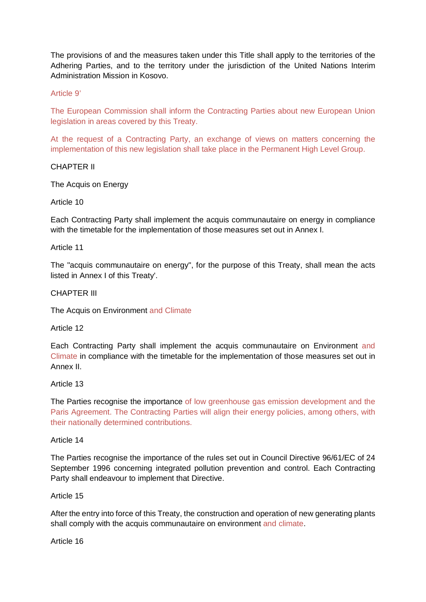The provisions of and the measures taken under this Title shall apply to the territories of the Adhering Parties, and to the territory under the jurisdiction of the United Nations Interim Administration Mission in Kosovo.

### Article 9'

The European Commission shall inform the Contracting Parties about new European Union legislation in areas covered by this Treaty.

At the request of a Contracting Party, an exchange of views on matters concerning the implementation of this new legislation shall take place in the Permanent High Level Group.

### CHAPTER II

The Acquis on Energy

### Article 10

Each Contracting Party shall implement the acquis communautaire on energy in compliance with the timetable for the implementation of those measures set out in Annex I.

#### Article 11

The "acquis communautaire on energy", for the purpose of this Treaty, shall mean the acts listed in Annex I of this Treaty'.

### CHAPTER III

The Acquis on Environment and Climate

Article 12

Each Contracting Party shall implement the acquis communautaire on Environment and Climate in compliance with the timetable for the implementation of those measures set out in Annex II.

### Article 13

The Parties recognise the importance of low greenhouse gas emission development and the Paris Agreement. The Contracting Parties will align their energy policies, among others, with their nationally determined contributions.

### Article 14

The Parties recognise the importance of the rules set out in Council Directive 96/61/EC of 24 September 1996 concerning integrated pollution prevention and control. Each Contracting Party shall endeavour to implement that Directive.

#### Article 15

After the entry into force of this Treaty, the construction and operation of new generating plants shall comply with the acquis communautaire on environment and climate.

Article 16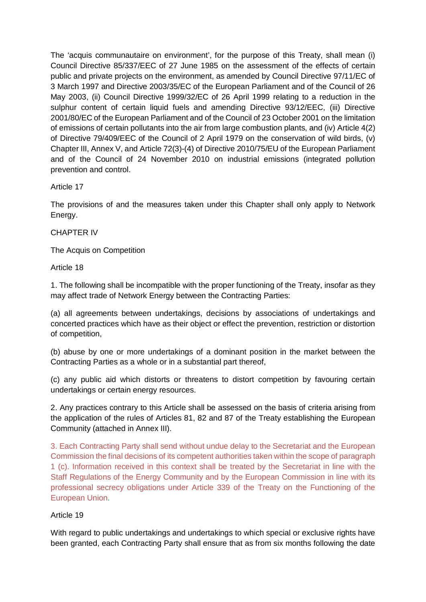The 'acquis communautaire on environment', for the purpose of this Treaty, shall mean (i) Council Directive 85/337/EEC of 27 June 1985 on the assessment of the effects of certain public and private projects on the environment, as amended by Council Directive 97/11/EC of 3 March 1997 and Directive 2003/35/EC of the European Parliament and of the Council of 26 May 2003, (ii) Council Directive 1999/32/EC of 26 April 1999 relating to a reduction in the sulphur content of certain liquid fuels and amending Directive 93/12/EEC, (iii) Directive 2001/80/EC of the European Parliament and of the Council of 23 October 2001 on the limitation of emissions of certain pollutants into the air from large combustion plants, and (iv) Article 4(2) of Directive 79/409/EEC of the Council of 2 April 1979 on the conservation of wild birds, (v) Chapter III, Annex V, and Article 72(3)-(4) of Directive 2010/75/EU of the European Parliament and of the Council of 24 November 2010 on industrial emissions (integrated pollution prevention and control.

## Article 17

The provisions of and the measures taken under this Chapter shall only apply to Network Energy.

### CHAPTER IV

The Acquis on Competition

Article 18

1. The following shall be incompatible with the proper functioning of the Treaty, insofar as they may affect trade of Network Energy between the Contracting Parties:

(a) all agreements between undertakings, decisions by associations of undertakings and concerted practices which have as their object or effect the prevention, restriction or distortion of competition,

(b) abuse by one or more undertakings of a dominant position in the market between the Contracting Parties as a whole or in a substantial part thereof,

(c) any public aid which distorts or threatens to distort competition by favouring certain undertakings or certain energy resources.

2. Any practices contrary to this Article shall be assessed on the basis of criteria arising from the application of the rules of Articles 81, 82 and 87 of the Treaty establishing the European Community (attached in Annex III).

3. Each Contracting Party shall send without undue delay to the Secretariat and the European Commission the final decisions of its competent authorities taken within the scope of paragraph 1 (c). Information received in this context shall be treated by the Secretariat in line with the Staff Regulations of the Energy Community and by the European Commission in line with its professional secrecy obligations under Article 339 of the Treaty on the Functioning of the European Union.

### Article 19

With regard to public undertakings and undertakings to which special or exclusive rights have been granted, each Contracting Party shall ensure that as from six months following the date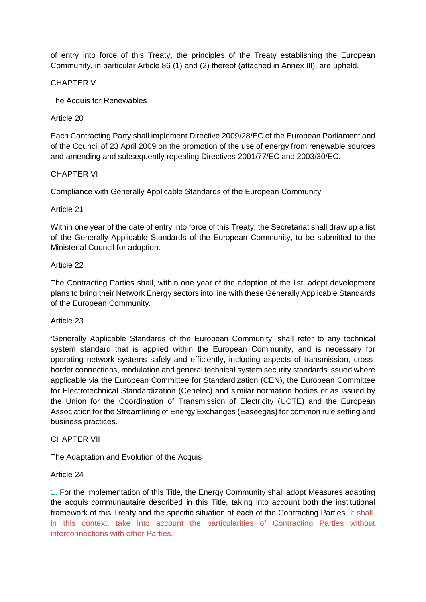of entry into force of this Treaty, the principles of the Treaty establishing the European Community, in particular Article 86 (1) and (2) thereof (attached in Annex III), are upheld.

## CHAPTER V

The Acquis for Renewables

### Article 20

Each Contracting Party shall implement Directive 2009/28/EC of the European Parliament and of the Council of 23 April 2009 on the promotion of the use of energy from renewable sources and amending and subsequently repealing Directives 2001/77/EC and 2003/30/EC.

## CHAPTER VI

Compliance with Generally Applicable Standards of the European Community

### Article 21

Within one year of the date of entry into force of this Treaty, the Secretariat shall draw up a list of the Generally Applicable Standards of the European Community, to be submitted to the Ministerial Council for adoption.

## Article 22

The Contracting Parties shall, within one year of the adoption of the list, adopt development plans to bring their Network Energy sectors into line with these Generally Applicable Standards of the European Community.

### Article 23

'Generally Applicable Standards of the European Community' shall refer to any technical system standard that is applied within the European Community, and is necessary for operating network systems safely and efficiently, including aspects of transmission, crossborder connections, modulation and general technical system security standards issued where applicable via the European Committee for Standardization (CEN), the European Committee for Electrotechnical Standardization (Cenelec) and similar normation bodies or as issued by the Union for the Coordination of Transmission of Electricity (UCTE) and the European Association for the Streamlining of Energy Exchanges (Easeegas) for common rule setting and business practices.

### CHAPTER VII

The Adaptation and Evolution of the Acquis

### Article 24

1. For the implementation of this Title, the Energy Community shall adopt Measures adapting the acquis communautaire described in this Title, taking into account both the institutional framework of this Treaty and the specific situation of each of the Contracting Parties. It shall, in this context, take into account the particularities of Contracting Parties without interconnections with other Parties.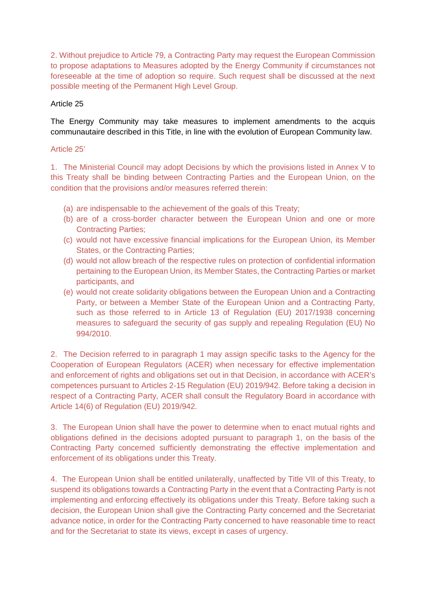2. Without prejudice to Article 79, a Contracting Party may request the European Commission to propose adaptations to Measures adopted by the Energy Community if circumstances not foreseeable at the time of adoption so require. Such request shall be discussed at the next possible meeting of the Permanent High Level Group.

### Article 25

The Energy Community may take measures to implement amendments to the acquis communautaire described in this Title, in line with the evolution of European Community law.

### Article 25'

1. The Ministerial Council may adopt Decisions by which the provisions listed in Annex V to this Treaty shall be binding between Contracting Parties and the European Union, on the condition that the provisions and/or measures referred therein:

- (a) are indispensable to the achievement of the goals of this Treaty;
- (b) are of a cross-border character between the European Union and one or more Contracting Parties;
- (c) would not have excessive financial implications for the European Union, its Member States, or the Contracting Parties;
- (d) would not allow breach of the respective rules on protection of confidential information pertaining to the European Union, its Member States, the Contracting Parties or market participants, and
- (e) would not create solidarity obligations between the European Union and a Contracting Party, or between a Member State of the European Union and a Contracting Party, such as those referred to in Article 13 of Regulation (EU) 2017/1938 concerning measures to safeguard the security of gas supply and repealing Regulation (EU) No 994/2010.

2. The Decision referred to in paragraph 1 may assign specific tasks to the Agency for the Cooperation of European Regulators (ACER) when necessary for effective implementation and enforcement of rights and obligations set out in that Decision, in accordance with ACER's competences pursuant to Articles 2-15 Regulation (EU) 2019/942. Before taking a decision in respect of a Contracting Party, ACER shall consult the Regulatory Board in accordance with Article 14(6) of Regulation (EU) 2019/942.

3. The European Union shall have the power to determine when to enact mutual rights and obligations defined in the decisions adopted pursuant to paragraph 1, on the basis of the Contracting Party concerned sufficiently demonstrating the effective implementation and enforcement of its obligations under this Treaty.

4. The European Union shall be entitled unilaterally, unaffected by Title VII of this Treaty, to suspend its obligations towards a Contracting Party in the event that a Contracting Party is not implementing and enforcing effectively its obligations under this Treaty. Before taking such a decision, the European Union shall give the Contracting Party concerned and the Secretariat advance notice, in order for the Contracting Party concerned to have reasonable time to react and for the Secretariat to state its views, except in cases of urgency.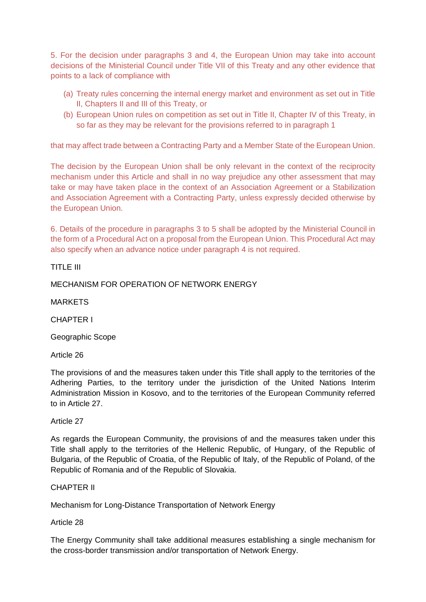5. For the decision under paragraphs 3 and 4, the European Union may take into account decisions of the Ministerial Council under Title VII of this Treaty and any other evidence that points to a lack of compliance with

- (a) Treaty rules concerning the internal energy market and environment as set out in Title II, Chapters II and III of this Treaty, or
- (b) European Union rules on competition as set out in Title II, Chapter IV of this Treaty, in so far as they may be relevant for the provisions referred to in paragraph 1

that may affect trade between a Contracting Party and a Member State of the European Union.

The decision by the European Union shall be only relevant in the context of the reciprocity mechanism under this Article and shall in no way prejudice any other assessment that may take or may have taken place in the context of an Association Agreement or a Stabilization and Association Agreement with a Contracting Party, unless expressly decided otherwise by the European Union.

6. Details of the procedure in paragraphs 3 to 5 shall be adopted by the Ministerial Council in the form of a Procedural Act on a proposal from the European Union. This Procedural Act may also specify when an advance notice under paragraph 4 is not required.

### TITLE III

## MECHANISM FOR OPERATION OF NETWORK ENERGY

MARKETS

CHAPTER I

Geographic Scope

Article 26

The provisions of and the measures taken under this Title shall apply to the territories of the Adhering Parties, to the territory under the jurisdiction of the United Nations Interim Administration Mission in Kosovo, and to the territories of the European Community referred to in Article 27.

### Article 27

As regards the European Community, the provisions of and the measures taken under this Title shall apply to the territories of the Hellenic Republic, of Hungary, of the Republic of Bulgaria, of the Republic of Croatia, of the Republic of Italy, of the Republic of Poland, of the Republic of Romania and of the Republic of Slovakia.

#### CHAPTER II

Mechanism for Long-Distance Transportation of Network Energy

### Article 28

The Energy Community shall take additional measures establishing a single mechanism for the cross-border transmission and/or transportation of Network Energy.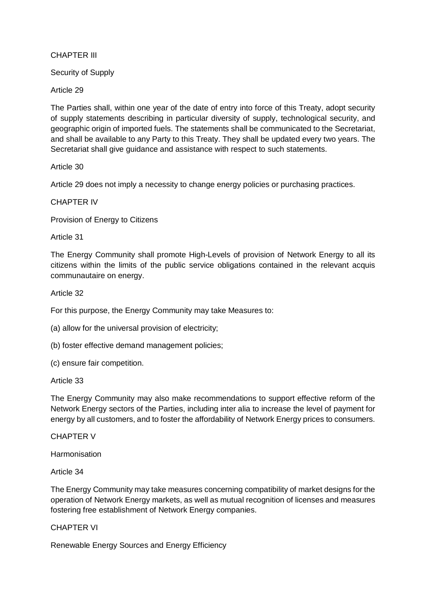### CHAPTER III

Security of Supply

Article 29

The Parties shall, within one year of the date of entry into force of this Treaty, adopt security of supply statements describing in particular diversity of supply, technological security, and geographic origin of imported fuels. The statements shall be communicated to the Secretariat, and shall be available to any Party to this Treaty. They shall be updated every two years. The Secretariat shall give guidance and assistance with respect to such statements.

Article 30

Article 29 does not imply a necessity to change energy policies or purchasing practices.

CHAPTER IV

Provision of Energy to Citizens

Article 31

The Energy Community shall promote High-Levels of provision of Network Energy to all its citizens within the limits of the public service obligations contained in the relevant acquis communautaire on energy.

Article 32

For this purpose, the Energy Community may take Measures to:

(a) allow for the universal provision of electricity;

(b) foster effective demand management policies;

(c) ensure fair competition.

Article 33

The Energy Community may also make recommendations to support effective reform of the Network Energy sectors of the Parties, including inter alia to increase the level of payment for energy by all customers, and to foster the affordability of Network Energy prices to consumers.

## CHAPTER V

Harmonisation

Article 34

The Energy Community may take measures concerning compatibility of market designs for the operation of Network Energy markets, as well as mutual recognition of licenses and measures fostering free establishment of Network Energy companies.

## CHAPTER VI

Renewable Energy Sources and Energy Efficiency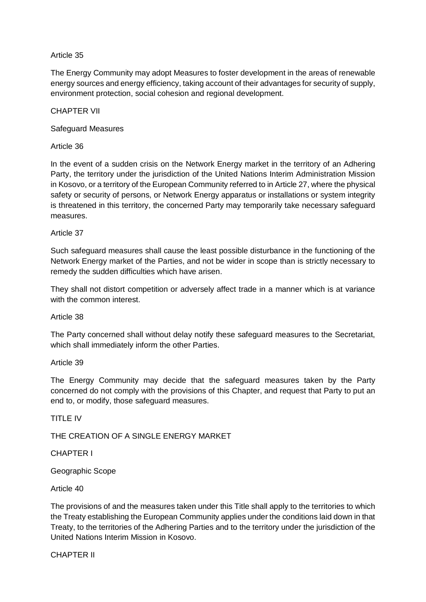## Article 35

The Energy Community may adopt Measures to foster development in the areas of renewable energy sources and energy efficiency, taking account of their advantages for security of supply, environment protection, social cohesion and regional development.

### CHAPTER VII

Safeguard Measures

Article 36

In the event of a sudden crisis on the Network Energy market in the territory of an Adhering Party, the territory under the jurisdiction of the United Nations Interim Administration Mission in Kosovo, or a territory of the European Community referred to in Article 27, where the physical safety or security of persons, or Network Energy apparatus or installations or system integrity is threatened in this territory, the concerned Party may temporarily take necessary safeguard measures.

## Article 37

Such safeguard measures shall cause the least possible disturbance in the functioning of the Network Energy market of the Parties, and not be wider in scope than is strictly necessary to remedy the sudden difficulties which have arisen.

They shall not distort competition or adversely affect trade in a manner which is at variance with the common interest.

### Article 38

The Party concerned shall without delay notify these safeguard measures to the Secretariat, which shall immediately inform the other Parties.

# Article 39

The Energy Community may decide that the safeguard measures taken by the Party concerned do not comply with the provisions of this Chapter, and request that Party to put an end to, or modify, those safeguard measures.

# TITLE IV

THE CREATION OF A SINGLE ENERGY MARKET

# CHAPTER I

Geographic Scope

### Article 40

The provisions of and the measures taken under this Title shall apply to the territories to which the Treaty establishing the European Community applies under the conditions laid down in that Treaty, to the territories of the Adhering Parties and to the territory under the jurisdiction of the United Nations Interim Mission in Kosovo.

### CHAPTER II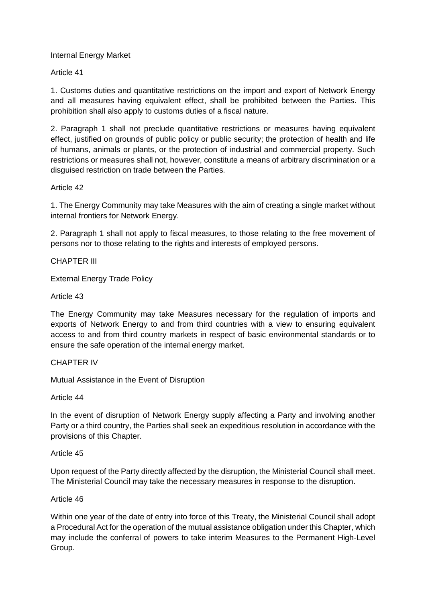## Internal Energy Market

## Article 41

1. Customs duties and quantitative restrictions on the import and export of Network Energy and all measures having equivalent effect, shall be prohibited between the Parties. This prohibition shall also apply to customs duties of a fiscal nature.

2. Paragraph 1 shall not preclude quantitative restrictions or measures having equivalent effect, justified on grounds of public policy or public security; the protection of health and life of humans, animals or plants, or the protection of industrial and commercial property. Such restrictions or measures shall not, however, constitute a means of arbitrary discrimination or a disguised restriction on trade between the Parties.

### Article 42

1. The Energy Community may take Measures with the aim of creating a single market without internal frontiers for Network Energy.

2. Paragraph 1 shall not apply to fiscal measures, to those relating to the free movement of persons nor to those relating to the rights and interests of employed persons.

### CHAPTER III

External Energy Trade Policy

### Article 43

The Energy Community may take Measures necessary for the regulation of imports and exports of Network Energy to and from third countries with a view to ensuring equivalent access to and from third country markets in respect of basic environmental standards or to ensure the safe operation of the internal energy market.

### CHAPTER IV

Mutual Assistance in the Event of Disruption

### Article 44

In the event of disruption of Network Energy supply affecting a Party and involving another Party or a third country, the Parties shall seek an expeditious resolution in accordance with the provisions of this Chapter.

### Article 45

Upon request of the Party directly affected by the disruption, the Ministerial Council shall meet. The Ministerial Council may take the necessary measures in response to the disruption.

### Article 46

Within one year of the date of entry into force of this Treaty, the Ministerial Council shall adopt a Procedural Act for the operation of the mutual assistance obligation under this Chapter, which may include the conferral of powers to take interim Measures to the Permanent High-Level Group.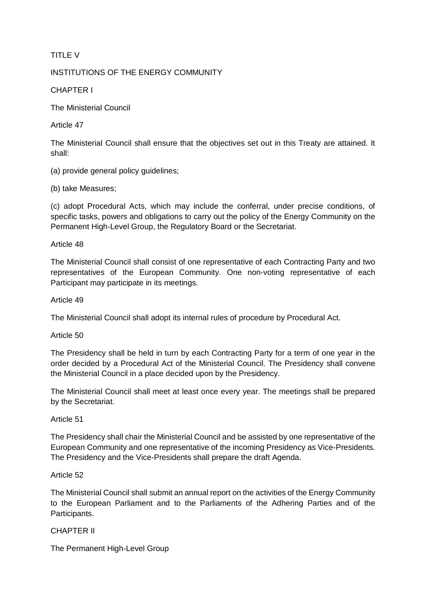# TITLE V

## INSTITUTIONS OF THE ENERGY COMMUNITY

CHAPTER I

The Ministerial Council

Article 47

The Ministerial Council shall ensure that the objectives set out in this Treaty are attained. It shall:

(a) provide general policy guidelines;

(b) take Measures;

(c) adopt Procedural Acts, which may include the conferral, under precise conditions, of specific tasks, powers and obligations to carry out the policy of the Energy Community on the Permanent High-Level Group, the Regulatory Board or the Secretariat.

#### Article 48

The Ministerial Council shall consist of one representative of each Contracting Party and two representatives of the European Community. One non-voting representative of each Participant may participate in its meetings.

Article 49

The Ministerial Council shall adopt its internal rules of procedure by Procedural Act.

Article 50

The Presidency shall be held in turn by each Contracting Party for a term of one year in the order decided by a Procedural Act of the Ministerial Council. The Presidency shall convene the Ministerial Council in a place decided upon by the Presidency.

The Ministerial Council shall meet at least once every year. The meetings shall be prepared by the Secretariat.

### Article 51

The Presidency shall chair the Ministerial Council and be assisted by one representative of the European Community and one representative of the incoming Presidency as Vice-Presidents. The Presidency and the Vice-Presidents shall prepare the draft Agenda.

### Article 52

The Ministerial Council shall submit an annual report on the activities of the Energy Community to the European Parliament and to the Parliaments of the Adhering Parties and of the Participants.

### CHAPTER II

The Permanent High-Level Group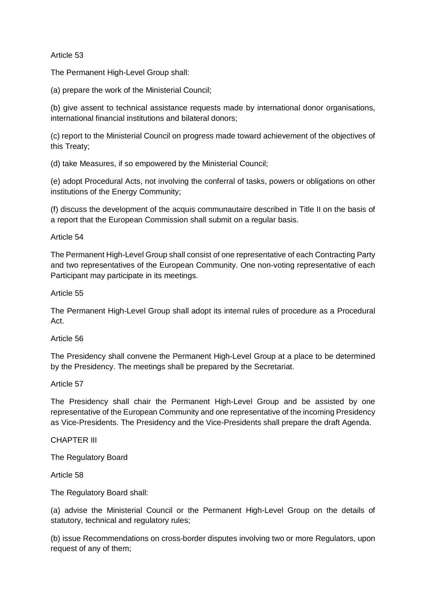## Article 53

The Permanent High-Level Group shall:

(a) prepare the work of the Ministerial Council;

(b) give assent to technical assistance requests made by international donor organisations, international financial institutions and bilateral donors;

(c) report to the Ministerial Council on progress made toward achievement of the objectives of this Treaty;

(d) take Measures, if so empowered by the Ministerial Council;

(e) adopt Procedural Acts, not involving the conferral of tasks, powers or obligations on other institutions of the Energy Community;

(f) discuss the development of the acquis communautaire described in Title II on the basis of a report that the European Commission shall submit on a regular basis.

### Article 54

The Permanent High-Level Group shall consist of one representative of each Contracting Party and two representatives of the European Community. One non-voting representative of each Participant may participate in its meetings.

#### Article 55

The Permanent High-Level Group shall adopt its internal rules of procedure as a Procedural Act.

#### Article 56

The Presidency shall convene the Permanent High-Level Group at a place to be determined by the Presidency. The meetings shall be prepared by the Secretariat.

### Article 57

The Presidency shall chair the Permanent High-Level Group and be assisted by one representative of the European Community and one representative of the incoming Presidency as Vice-Presidents. The Presidency and the Vice-Presidents shall prepare the draft Agenda.

### CHAPTER III

The Regulatory Board

Article 58

The Regulatory Board shall:

(a) advise the Ministerial Council or the Permanent High-Level Group on the details of statutory, technical and regulatory rules;

(b) issue Recommendations on cross-border disputes involving two or more Regulators, upon request of any of them;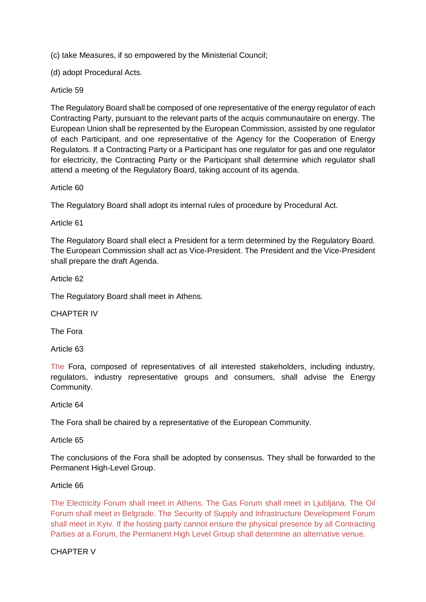(c) take Measures, if so empowered by the Ministerial Council;

(d) adopt Procedural Acts.

### Article 59

The Regulatory Board shall be composed of one representative of the energy regulator of each Contracting Party, pursuant to the relevant parts of the acquis communautaire on energy. The European Union shall be represented by the European Commission, assisted by one regulator of each Participant, and one representative of the Agency for the Cooperation of Energy Regulators. If a Contracting Party or a Participant has one regulator for gas and one regulator for electricity, the Contracting Party or the Participant shall determine which regulator shall attend a meeting of the Regulatory Board, taking account of its agenda.

## Article 60

The Regulatory Board shall adopt its internal rules of procedure by Procedural Act.

### Article 61

The Regulatory Board shall elect a President for a term determined by the Regulatory Board. The European Commission shall act as Vice-President. The President and the Vice-President shall prepare the draft Agenda.

Article 62

The Regulatory Board shall meet in Athens.

CHAPTER IV

The Fora

Article 63

The Fora, composed of representatives of all interested stakeholders, including industry, regulators, industry representative groups and consumers, shall advise the Energy Community.

### Article 64

The Fora shall be chaired by a representative of the European Community.

Article 65

The conclusions of the Fora shall be adopted by consensus. They shall be forwarded to the Permanent High-Level Group.

### Article 66

The Electricity Forum shall meet in Athens. The Gas Forum shall meet in Ljubljana. The Oil Forum shall meet in Belgrade. The Security of Supply and Infrastructure Development Forum shall meet in Kyiv. If the hosting party cannot ensure the physical presence by all Contracting Parties at a Forum, the Permanent High Level Group shall determine an alternative venue.

### CHAPTER V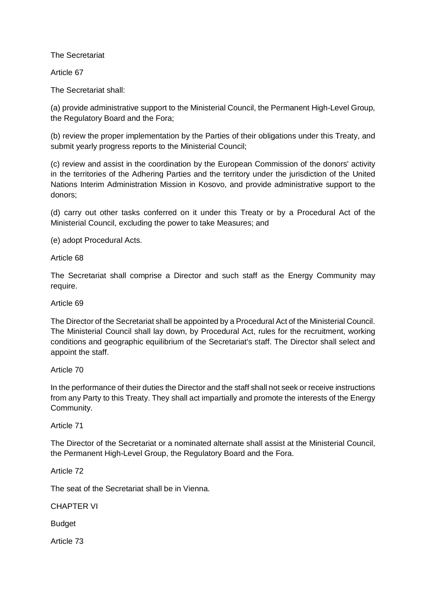The Secretariat

Article 67

The Secretariat shall:

(a) provide administrative support to the Ministerial Council, the Permanent High-Level Group, the Regulatory Board and the Fora;

(b) review the proper implementation by the Parties of their obligations under this Treaty, and submit yearly progress reports to the Ministerial Council;

(c) review and assist in the coordination by the European Commission of the donors' activity in the territories of the Adhering Parties and the territory under the jurisdiction of the United Nations Interim Administration Mission in Kosovo, and provide administrative support to the donors;

(d) carry out other tasks conferred on it under this Treaty or by a Procedural Act of the Ministerial Council, excluding the power to take Measures; and

(e) adopt Procedural Acts.

Article 68

The Secretariat shall comprise a Director and such staff as the Energy Community may require.

Article 69

The Director of the Secretariat shall be appointed by a Procedural Act of the Ministerial Council. The Ministerial Council shall lay down, by Procedural Act, rules for the recruitment, working conditions and geographic equilibrium of the Secretariat's staff. The Director shall select and appoint the staff.

Article 70

In the performance of their duties the Director and the staff shall not seek or receive instructions from any Party to this Treaty. They shall act impartially and promote the interests of the Energy Community.

Article 71

The Director of the Secretariat or a nominated alternate shall assist at the Ministerial Council, the Permanent High-Level Group, the Regulatory Board and the Fora.

Article 72

The seat of the Secretariat shall be in Vienna.

CHAPTER VI

Budget

Article 73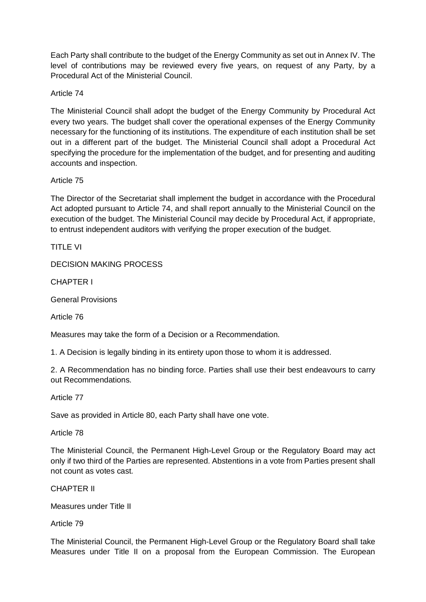Each Party shall contribute to the budget of the Energy Community as set out in Annex IV. The level of contributions may be reviewed every five years, on request of any Party, by a Procedural Act of the Ministerial Council.

## Article 74

The Ministerial Council shall adopt the budget of the Energy Community by Procedural Act every two years. The budget shall cover the operational expenses of the Energy Community necessary for the functioning of its institutions. The expenditure of each institution shall be set out in a different part of the budget. The Ministerial Council shall adopt a Procedural Act specifying the procedure for the implementation of the budget, and for presenting and auditing accounts and inspection.

## Article 75

The Director of the Secretariat shall implement the budget in accordance with the Procedural Act adopted pursuant to Article 74, and shall report annually to the Ministerial Council on the execution of the budget. The Ministerial Council may decide by Procedural Act, if appropriate, to entrust independent auditors with verifying the proper execution of the budget.

TITLE VI

DECISION MAKING PROCESS

CHAPTER I

General Provisions

Article 76

Measures may take the form of a Decision or a Recommendation.

1. A Decision is legally binding in its entirety upon those to whom it is addressed.

2. A Recommendation has no binding force. Parties shall use their best endeavours to carry out Recommendations.

Article 77

Save as provided in Article 80, each Party shall have one vote.

Article 78

The Ministerial Council, the Permanent High-Level Group or the Regulatory Board may act only if two third of the Parties are represented. Abstentions in a vote from Parties present shall not count as votes cast.

## CHAPTER II

Measures under Title II

Article 79

The Ministerial Council, the Permanent High-Level Group or the Regulatory Board shall take Measures under Title II on a proposal from the European Commission. The European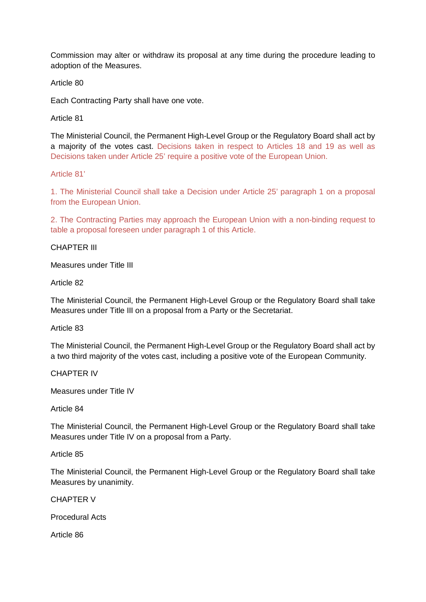Commission may alter or withdraw its proposal at any time during the procedure leading to adoption of the Measures.

Article 80

Each Contracting Party shall have one vote.

Article 81

The Ministerial Council, the Permanent High-Level Group or the Regulatory Board shall act by a majority of the votes cast. Decisions taken in respect to Articles 18 and 19 as well as Decisions taken under Article 25' require a positive vote of the European Union.

### Article 81'

1. The Ministerial Council shall take a Decision under Article 25' paragraph 1 on a proposal from the European Union.

2. The Contracting Parties may approach the European Union with a non-binding request to table a proposal foreseen under paragraph 1 of this Article.

### CHAPTER III

Measures under Title III

Article 82

The Ministerial Council, the Permanent High-Level Group or the Regulatory Board shall take Measures under Title III on a proposal from a Party or the Secretariat.

Article 83

The Ministerial Council, the Permanent High-Level Group or the Regulatory Board shall act by a two third majority of the votes cast, including a positive vote of the European Community.

CHAPTER IV

Measures under Title IV

Article 84

The Ministerial Council, the Permanent High-Level Group or the Regulatory Board shall take Measures under Title IV on a proposal from a Party.

Article 85

The Ministerial Council, the Permanent High-Level Group or the Regulatory Board shall take Measures by unanimity.

CHAPTER V

Procedural Acts

Article 86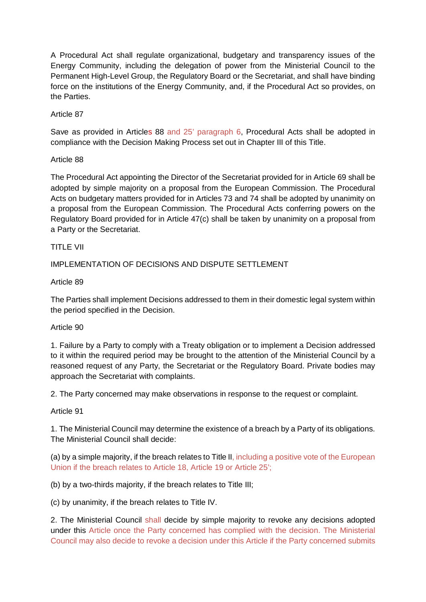A Procedural Act shall regulate organizational, budgetary and transparency issues of the Energy Community, including the delegation of power from the Ministerial Council to the Permanent High-Level Group, the Regulatory Board or the Secretariat, and shall have binding force on the institutions of the Energy Community, and, if the Procedural Act so provides, on the Parties.

# Article 87

Save as provided in Articles 88 and 25' paragraph 6, Procedural Acts shall be adopted in compliance with the Decision Making Process set out in Chapter III of this Title.

## Article 88

The Procedural Act appointing the Director of the Secretariat provided for in Article 69 shall be adopted by simple majority on a proposal from the European Commission. The Procedural Acts on budgetary matters provided for in Articles 73 and 74 shall be adopted by unanimity on a proposal from the European Commission. The Procedural Acts conferring powers on the Regulatory Board provided for in Article 47(c) shall be taken by unanimity on a proposal from a Party or the Secretariat.

## TITLE VII

IMPLEMENTATION OF DECISIONS AND DISPUTE SETTLEMENT

Article 89

The Parties shall implement Decisions addressed to them in their domestic legal system within the period specified in the Decision.

### Article 90

1. Failure by a Party to comply with a Treaty obligation or to implement a Decision addressed to it within the required period may be brought to the attention of the Ministerial Council by a reasoned request of any Party, the Secretariat or the Regulatory Board. Private bodies may approach the Secretariat with complaints.

2. The Party concerned may make observations in response to the request or complaint.

# Article 91

1. The Ministerial Council may determine the existence of a breach by a Party of its obligations. The Ministerial Council shall decide:

(a) by a simple majority, if the breach relates to Title II, including a positive vote of the European Union if the breach relates to Article 18, Article 19 or Article 25';

(b) by a two-thirds majority, if the breach relates to Title III;

(c) by unanimity, if the breach relates to Title IV.

2. The Ministerial Council shall decide by simple majority to revoke any decisions adopted under this Article once the Party concerned has complied with the decision. The Ministerial Council may also decide to revoke a decision under this Article if the Party concerned submits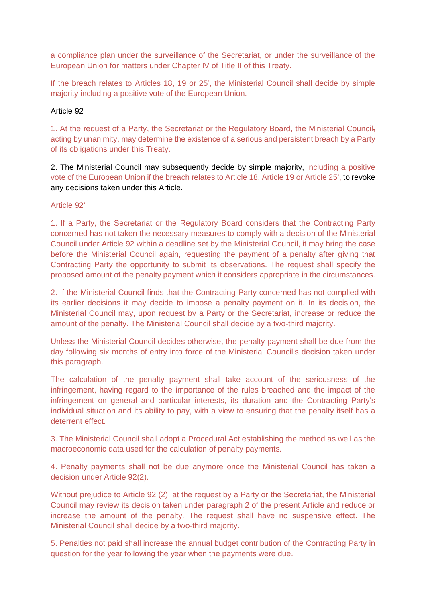a compliance plan under the surveillance of the Secretariat, or under the surveillance of the European Union for matters under Chapter IV of Title II of this Treaty.

If the breach relates to Articles 18, 19 or 25', the Ministerial Council shall decide by simple majority including a positive vote of the European Union.

### Article 92

1. At the request of a Party, the Secretariat or the Regulatory Board, the Ministerial Council, acting by unanimity, may determine the existence of a serious and persistent breach by a Party of its obligations under this Treaty.

2. The Ministerial Council may subsequently decide by simple majority, including a positive vote of the European Union if the breach relates to Article 18, Article 19 or Article 25', to revoke any decisions taken under this Article.

Article 92'

1. If a Party, the Secretariat or the Regulatory Board considers that the Contracting Party concerned has not taken the necessary measures to comply with a decision of the Ministerial Council under Article 92 within a deadline set by the Ministerial Council, it may bring the case before the Ministerial Council again, requesting the payment of a penalty after giving that Contracting Party the opportunity to submit its observations. The request shall specify the proposed amount of the penalty payment which it considers appropriate in the circumstances.

2. If the Ministerial Council finds that the Contracting Party concerned has not complied with its earlier decisions it may decide to impose a penalty payment on it. In its decision, the Ministerial Council may, upon request by a Party or the Secretariat, increase or reduce the amount of the penalty. The Ministerial Council shall decide by a two-third majority.

Unless the Ministerial Council decides otherwise, the penalty payment shall be due from the day following six months of entry into force of the Ministerial Council's decision taken under this paragraph.

The calculation of the penalty payment shall take account of the seriousness of the infringement, having regard to the importance of the rules breached and the impact of the infringement on general and particular interests, its duration and the Contracting Party's individual situation and its ability to pay, with a view to ensuring that the penalty itself has a deterrent effect.

3. The Ministerial Council shall adopt a Procedural Act establishing the method as well as the macroeconomic data used for the calculation of penalty payments.

4. Penalty payments shall not be due anymore once the Ministerial Council has taken a decision under Article 92(2).

Without prejudice to Article 92 (2), at the request by a Party or the Secretariat, the Ministerial Council may review its decision taken under paragraph 2 of the present Article and reduce or increase the amount of the penalty. The request shall have no suspensive effect. The Ministerial Council shall decide by a two-third majority.

5. Penalties not paid shall increase the annual budget contribution of the Contracting Party in question for the year following the year when the payments were due.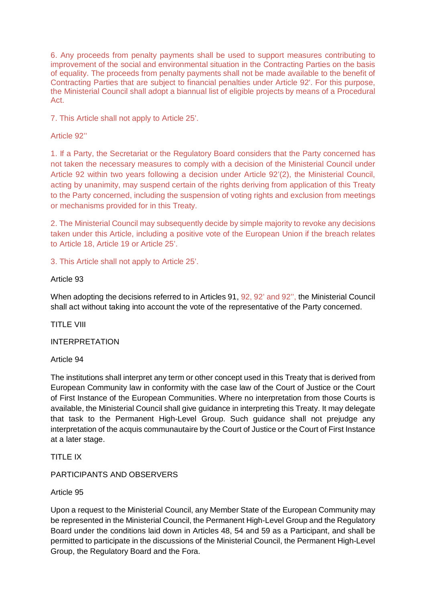6. Any proceeds from penalty payments shall be used to support measures contributing to improvement of the social and environmental situation in the Contracting Parties on the basis of equality. The proceeds from penalty payments shall not be made available to the benefit of Contracting Parties that are subject to financial penalties under Article 92'. For this purpose, the Ministerial Council shall adopt a biannual list of eligible projects by means of a Procedural Act.

7. This Article shall not apply to Article 25'.

Article 92''

1. If a Party, the Secretariat or the Regulatory Board considers that the Party concerned has not taken the necessary measures to comply with a decision of the Ministerial Council under Article 92 within two years following a decision under Article 92'(2), the Ministerial Council, acting by unanimity, may suspend certain of the rights deriving from application of this Treaty to the Party concerned, including the suspension of voting rights and exclusion from meetings or mechanisms provided for in this Treaty.

2. The Ministerial Council may subsequently decide by simple majority to revoke any decisions taken under this Article, including a positive vote of the European Union if the breach relates to Article 18, Article 19 or Article 25'.

3. This Article shall not apply to Article 25'.

### Article 93

When adopting the decisions referred to in Articles 91, 92, 92' and 92", the Ministerial Council shall act without taking into account the vote of the representative of the Party concerned.

TITLE VIII

### INTERPRETATION

Article 94

The institutions shall interpret any term or other concept used in this Treaty that is derived from European Community law in conformity with the case law of the Court of Justice or the Court of First Instance of the European Communities. Where no interpretation from those Courts is available, the Ministerial Council shall give guidance in interpreting this Treaty. It may delegate that task to the Permanent High-Level Group. Such guidance shall not prejudge any interpretation of the acquis communautaire by the Court of Justice or the Court of First Instance at a later stage.

TITLE IX

# PARTICIPANTS AND OBSERVERS

Article 95

Upon a request to the Ministerial Council, any Member State of the European Community may be represented in the Ministerial Council, the Permanent High-Level Group and the Regulatory Board under the conditions laid down in Articles 48, 54 and 59 as a Participant, and shall be permitted to participate in the discussions of the Ministerial Council, the Permanent High-Level Group, the Regulatory Board and the Fora.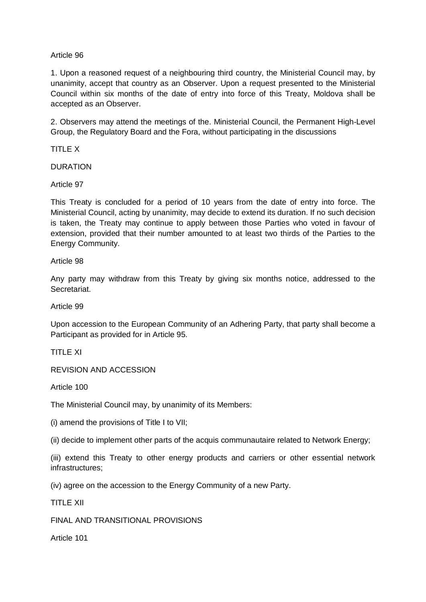### Article 96

1. Upon a reasoned request of a neighbouring third country, the Ministerial Council may, by unanimity, accept that country as an Observer. Upon a request presented to the Ministerial Council within six months of the date of entry into force of this Treaty, Moldova shall be accepted as an Observer.

2. Observers may attend the meetings of the. Ministerial Council, the Permanent High-Level Group, the Regulatory Board and the Fora, without participating in the discussions

TITLE X

DURATION

Article 97

This Treaty is concluded for a period of 10 years from the date of entry into force. The Ministerial Council, acting by unanimity, may decide to extend its duration. If no such decision is taken, the Treaty may continue to apply between those Parties who voted in favour of extension, provided that their number amounted to at least two thirds of the Parties to the Energy Community.

Article 98

Any party may withdraw from this Treaty by giving six months notice, addressed to the Secretariat.

Article 99

Upon accession to the European Community of an Adhering Party, that party shall become a Participant as provided for in Article 95.

TITLE XI

REVISION AND ACCESSION

Article 100

The Ministerial Council may, by unanimity of its Members:

(i) amend the provisions of Title I to VII;

(ii) decide to implement other parts of the acquis communautaire related to Network Energy;

(iii) extend this Treaty to other energy products and carriers or other essential network infrastructures;

(iv) agree on the accession to the Energy Community of a new Party.

TITLE XII

FINAL AND TRANSITIONAL PROVISIONS

Article 101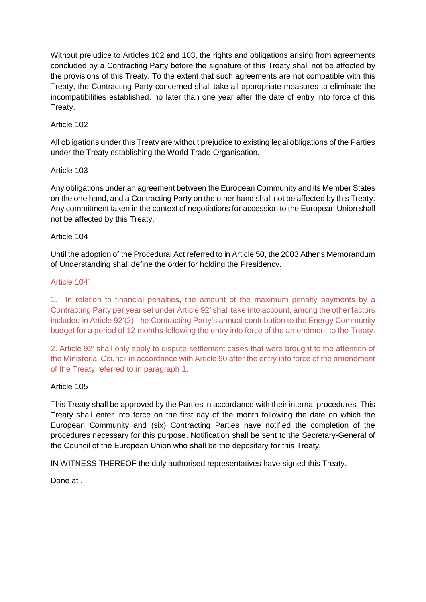Without prejudice to Articles 102 and 103, the rights and obligations arising from agreements concluded by a Contracting Party before the signature of this Treaty shall not be affected by the provisions of this Treaty. To the extent that such agreements are not compatible with this Treaty, the Contracting Party concerned shall take all appropriate measures to eliminate the incompatibilities established, no later than one year after the date of entry into force of this Treaty.

# Article 102

All obligations under this Treaty are without prejudice to existing legal obligations of the Parties under the Treaty establishing the World Trade Organisation.

# Article 103

Any obligations under an agreement between the European Community and its Member States on the one hand, and a Contracting Party on the other hand shall not be affected by this Treaty. Any commitment taken in the context of negotiations for accession to the European Union shall not be affected by this Treaty.

## Article 104

Until the adoption of the Procedural Act referred to in Article 50, the 2003 Athens Memorandum of Understanding shall define the order for holding the Presidency.

### Article 104'

1. In relation to financial penalties**,** the amount of the maximum penalty payments by a Contracting Party per year set under Article 92' shall take into account, among the other factors included in Article 92'(2), the Contracting Party's annual contribution to the Energy Community budget for a period of 12 months following the entry into force of the amendment to the Treaty.

2. Article 92' shall only apply to dispute settlement cases that were brought to the attention of the Ministerial Council in accordance with Article 90 after the entry into force of the amendment of the Treaty referred to in paragraph 1.

### Article 105

This Treaty shall be approved by the Parties in accordance with their internal procedures. This Treaty shall enter into force on the first day of the month following the date on which the European Community and (six) Contracting Parties have notified the completion of the procedures necessary for this purpose. Notification shall be sent to the Secretary-General of the Council of the European Union who shall be the depositary for this Treaty.

IN WITNESS THEREOF the duly authorised representatives have signed this Treaty.

Done at .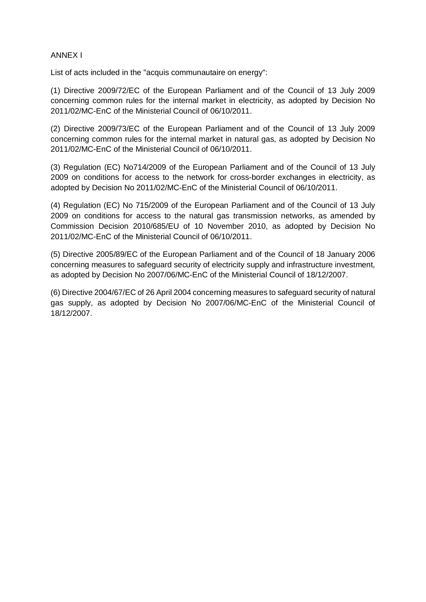## ANNEX I

List of acts included in the "acquis communautaire on energy":

(1) Directive 2009/72/EC of the European Parliament and of the Council of 13 July 2009 concerning common rules for the internal market in electricity, as adopted by Decision No 2011/02/MC-EnC of the Ministerial Council of 06/10/2011.

(2) Directive 2009/73/EC of the European Parliament and of the Council of 13 July 2009 concerning common rules for the internal market in natural gas, as adopted by Decision No 2011/02/MC-EnC of the Ministerial Council of 06/10/2011.

(3) Regulation (EC) No714/2009 of the European Parliament and of the Council of 13 July 2009 on conditions for access to the network for cross-border exchanges in electricity, as adopted by Decision No 2011/02/MC-EnC of the Ministerial Council of 06/10/2011.

(4) Regulation (EC) No 715/2009 of the European Parliament and of the Council of 13 July 2009 on conditions for access to the natural gas transmission networks, as amended by Commission Decision 2010/685/EU of 10 November 2010, as adopted by Decision No 2011/02/MC-EnC of the Ministerial Council of 06/10/2011.

(5) Directive 2005/89/EC of the European Parliament and of the Council of 18 January 2006 concerning measures to safeguard security of electricity supply and infrastructure investment, as adopted by Decision No 2007/06/MC-EnC of the Ministerial Council of 18/12/2007.

(6) Directive 2004/67/EC of 26 April 2004 concerning measures to safeguard security of natural gas supply, as adopted by Decision No 2007/06/MC-EnC of the Ministerial Council of 18/12/2007.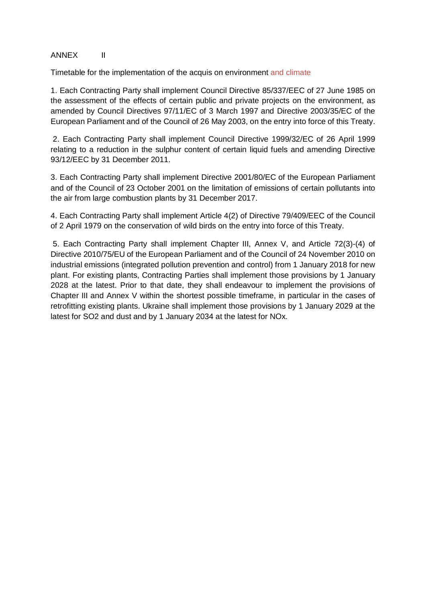## ANNEX II

Timetable for the implementation of the acquis on environment and climate

1. Each Contracting Party shall implement Council Directive 85/337/EEC of 27 June 1985 on the assessment of the effects of certain public and private projects on the environment, as amended by Council Directives 97/11/EC of 3 March 1997 and Directive 2003/35/EC of the European Parliament and of the Council of 26 May 2003, on the entry into force of this Treaty.

2. Each Contracting Party shall implement Council Directive 1999/32/EC of 26 April 1999 relating to a reduction in the sulphur content of certain liquid fuels and amending Directive 93/12/EEC by 31 December 2011.

3. Each Contracting Party shall implement Directive 2001/80/EC of the European Parliament and of the Council of 23 October 2001 on the limitation of emissions of certain pollutants into the air from large combustion plants by 31 December 2017.

4. Each Contracting Party shall implement Article 4(2) of Directive 79/409/EEC of the Council of 2 April 1979 on the conservation of wild birds on the entry into force of this Treaty.

5. Each Contracting Party shall implement Chapter III, Annex V, and Article 72(3)-(4) of Directive 2010/75/EU of the European Parliament and of the Council of 24 November 2010 on industrial emissions (integrated pollution prevention and control) from 1 January 2018 for new plant. For existing plants, Contracting Parties shall implement those provisions by 1 January 2028 at the latest. Prior to that date, they shall endeavour to implement the provisions of Chapter III and Annex V within the shortest possible timeframe, in particular in the cases of retrofitting existing plants. Ukraine shall implement those provisions by 1 January 2029 at the latest for SO2 and dust and by 1 January 2034 at the latest for NOx.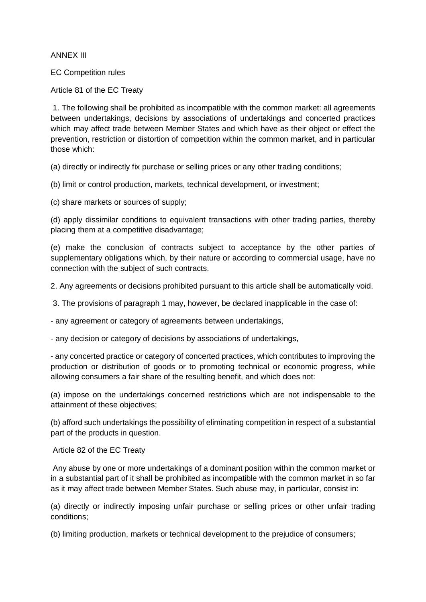### ANNEX III

EC Competition rules

Article 81 of the EC Treaty

1. The following shall be prohibited as incompatible with the common market: all agreements between undertakings, decisions by associations of undertakings and concerted practices which may affect trade between Member States and which have as their object or effect the prevention, restriction or distortion of competition within the common market, and in particular those which:

(a) directly or indirectly fix purchase or selling prices or any other trading conditions;

(b) limit or control production, markets, technical development, or investment;

(c) share markets or sources of supply;

(d) apply dissimilar conditions to equivalent transactions with other trading parties, thereby placing them at a competitive disadvantage;

(e) make the conclusion of contracts subject to acceptance by the other parties of supplementary obligations which, by their nature or according to commercial usage, have no connection with the subject of such contracts.

2. Any agreements or decisions prohibited pursuant to this article shall be automatically void.

3. The provisions of paragraph 1 may, however, be declared inapplicable in the case of:

- any agreement or category of agreements between undertakings,

- any decision or category of decisions by associations of undertakings,

- any concerted practice or category of concerted practices, which contributes to improving the production or distribution of goods or to promoting technical or economic progress, while allowing consumers a fair share of the resulting benefit, and which does not:

(a) impose on the undertakings concerned restrictions which are not indispensable to the attainment of these objectives;

(b) afford such undertakings the possibility of eliminating competition in respect of a substantial part of the products in question.

Article 82 of the EC Treaty

Any abuse by one or more undertakings of a dominant position within the common market or in a substantial part of it shall be prohibited as incompatible with the common market in so far as it may affect trade between Member States. Such abuse may, in particular, consist in:

(a) directly or indirectly imposing unfair purchase or selling prices or other unfair trading conditions;

(b) limiting production, markets or technical development to the prejudice of consumers;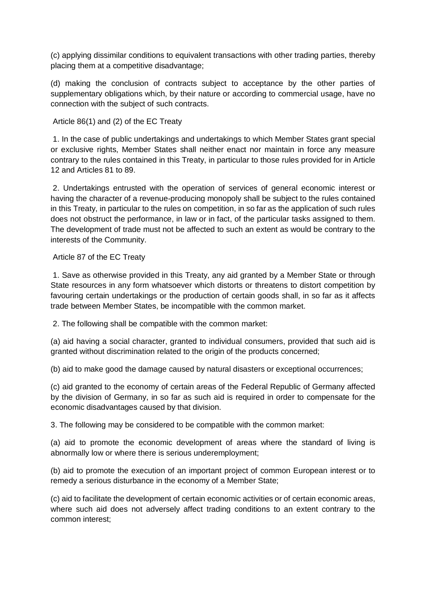(c) applying dissimilar conditions to equivalent transactions with other trading parties, thereby placing them at a competitive disadvantage;

(d) making the conclusion of contracts subject to acceptance by the other parties of supplementary obligations which, by their nature or according to commercial usage, have no connection with the subject of such contracts.

Article 86(1) and (2) of the EC Treaty

1. In the case of public undertakings and undertakings to which Member States grant special or exclusive rights, Member States shall neither enact nor maintain in force any measure contrary to the rules contained in this Treaty, in particular to those rules provided for in Article 12 and Articles 81 to 89.

2. Undertakings entrusted with the operation of services of general economic interest or having the character of a revenue-producing monopoly shall be subject to the rules contained in this Treaty, in particular to the rules on competition, in so far as the application of such rules does not obstruct the performance, in law or in fact, of the particular tasks assigned to them. The development of trade must not be affected to such an extent as would be contrary to the interests of the Community.

Article 87 of the EC Treaty

1. Save as otherwise provided in this Treaty, any aid granted by a Member State or through State resources in any form whatsoever which distorts or threatens to distort competition by favouring certain undertakings or the production of certain goods shall, in so far as it affects trade between Member States, be incompatible with the common market.

2. The following shall be compatible with the common market:

(a) aid having a social character, granted to individual consumers, provided that such aid is granted without discrimination related to the origin of the products concerned;

(b) aid to make good the damage caused by natural disasters or exceptional occurrences;

(c) aid granted to the economy of certain areas of the Federal Republic of Germany affected by the division of Germany, in so far as such aid is required in order to compensate for the economic disadvantages caused by that division.

3. The following may be considered to be compatible with the common market:

(a) aid to promote the economic development of areas where the standard of living is abnormally low or where there is serious underemployment;

(b) aid to promote the execution of an important project of common European interest or to remedy a serious disturbance in the economy of a Member State;

(c) aid to facilitate the development of certain economic activities or of certain economic areas, where such aid does not adversely affect trading conditions to an extent contrary to the common interest;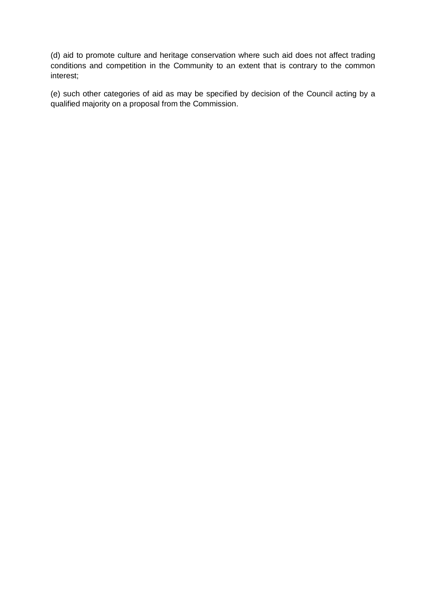(d) aid to promote culture and heritage conservation where such aid does not affect trading conditions and competition in the Community to an extent that is contrary to the common interest;

(e) such other categories of aid as may be specified by decision of the Council acting by a qualified majority on a proposal from the Commission.